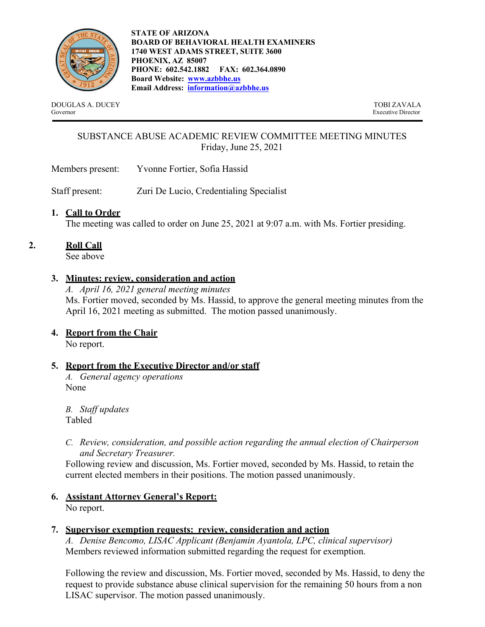

**STATE OF ARIZONA BOARD OF BEHAVIORAL HEALTH EXAMINERS 1740 WEST ADAMS STREET, SUITE 3600 PHOENIX, AZ 85007 PHONE: 602.542.1882 FAX: 602.364.0890 Board Website: www.azbbhe.us Email Address: information@azbbhe.us**

DOUGLAS A. DUCEY TOBI ZAVALA Governor Executive Director

# SUBSTANCE ABUSE ACADEMIC REVIEW COMMITTEE MEETING MINUTES Friday, June 25, 2021

Members present: Yvonne Fortier, Sofia Hassid

Staff present: Zuri De Lucio, Credentialing Specialist

## **1. Call to Order**

The meeting was called to order on June 25, 2021 at 9:07 a.m. with Ms. Fortier presiding.

# **2. Roll Call**

See above

# **3. Minutes: review, consideration and action**

*A. April 16, 2021 general meeting minutes*  Ms. Fortier moved, seconded by Ms. Hassid, to approve the general meeting minutes from the April 16, 2021 meeting as submitted. The motion passed unanimously.

## **4. Report from the Chair**

No report.

# **5. Report from the Executive Director and/or staff**

*A. General agency operations* None

*B. Staff updates* Tabled

*C. Review, consideration, and possible action regarding the annual election of Chairperson and Secretary Treasurer.*

Following review and discussion, Ms. Fortier moved, seconded by Ms. Hassid, to retain the current elected members in their positions. The motion passed unanimously.

#### **6. Assistant Attorney General's Report:**  No report.

# **7. Supervisor exemption requests: review, consideration and action**

*A. Denise Bencomo, LISAC Applicant (Benjamin Ayantola, LPC, clinical supervisor)*  Members reviewed information submitted regarding the request for exemption.

Following the review and discussion, Ms. Fortier moved, seconded by Ms. Hassid, to deny the request to provide substance abuse clinical supervision for the remaining 50 hours from a non LISAC supervisor. The motion passed unanimously.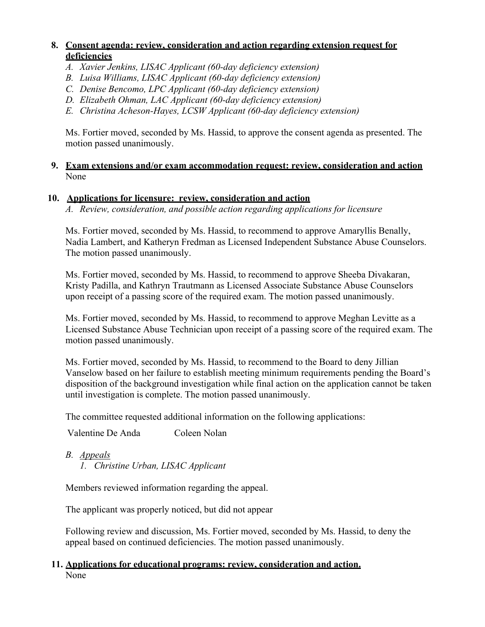## **8. Consent agenda: review, consideration and action regarding extension request for deficiencies**

- *A. Xavier Jenkins, LISAC Applicant (60-day deficiency extension)*
- *B. Luisa Williams, LISAC Applicant (60-day deficiency extension)*
- *C. Denise Bencomo, LPC Applicant (60-day deficiency extension)*
- *D. Elizabeth Ohman, LAC Applicant (60-day deficiency extension)*
- *E. Christina Acheson-Hayes, LCSW Applicant (60-day deficiency extension)*

Ms. Fortier moved, seconded by Ms. Hassid, to approve the consent agenda as presented. The motion passed unanimously.

#### **9. Exam extensions and/or exam accommodation request: review, consideration and action**  None

## **10. Applications for licensure: review, consideration and action**

*A. Review, consideration, and possible action regarding applications for licensure* 

Ms. Fortier moved, seconded by Ms. Hassid, to recommend to approve Amaryllis Benally, Nadia Lambert, and Katheryn Fredman as Licensed Independent Substance Abuse Counselors. The motion passed unanimously.

Ms. Fortier moved, seconded by Ms. Hassid, to recommend to approve Sheeba Divakaran, Kristy Padilla, and Kathryn Trautmann as Licensed Associate Substance Abuse Counselors upon receipt of a passing score of the required exam. The motion passed unanimously.

Ms. Fortier moved, seconded by Ms. Hassid, to recommend to approve Meghan Levitte as a Licensed Substance Abuse Technician upon receipt of a passing score of the required exam. The motion passed unanimously.

Ms. Fortier moved, seconded by Ms. Hassid, to recommend to the Board to deny Jillian Vanselow based on her failure to establish meeting minimum requirements pending the Board's disposition of the background investigation while final action on the application cannot be taken until investigation is complete. The motion passed unanimously.

The committee requested additional information on the following applications:

Valentine De Anda Coleen Nolan

*B. Appeals* 

*1. Christine Urban, LISAC Applicant* 

Members reviewed information regarding the appeal.

The applicant was properly noticed, but did not appear

Following review and discussion, Ms. Fortier moved, seconded by Ms. Hassid, to deny the appeal based on continued deficiencies. The motion passed unanimously.

# **11. Applications for educational programs: review, consideration and action.**  None